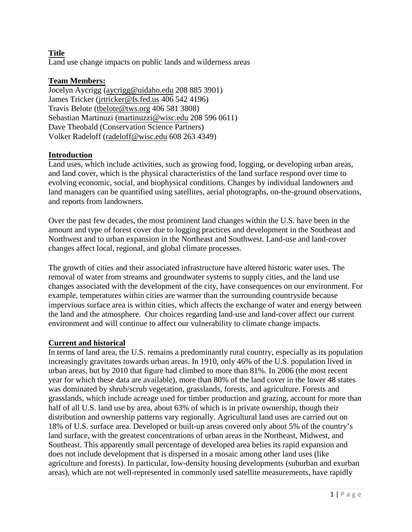# **Title**

Land use change impacts on public lands and wilderness areas

## **Team Members:**

Jocelyn Aycrigg [\(aycrigg@uidaho.edu](mailto:aycrigg@uidaho.edu) 208 885 3901) James Tricker [\(jrtricker@fs.fed.us](mailto:jrtricker@fs.fed.us) 406 542 4196) Travis Belote [\(tbelote@tws.org](mailto:tbelote@tws.org) 406 581 3808) Sebastian Martinuzi [\(martinuzzi@wisc.edu](mailto:martinuzzi@wisc.edu) 208 596 0611) Dave Theobald (Conservation Science Partners) Volker Radeloff [\(radeloff@wisc.edu](mailto:radeloff@wisc.edu) 608 263 4349)

## **Introduction**

Land uses, which include activities, such as growing food, logging, or developing urban areas, and land cover, which is the physical characteristics of the land surface respond over time to evolving economic, social, and biophysical conditions. Changes by individual landowners and land managers can be quantified using satellites, aerial photographs, on-the-ground observations, and reports from landowners.

Over the past few decades, the most prominent land changes within the U.S. have been in the amount and type of forest cover due to logging practices and development in the Southeast and Northwest and to urban expansion in the Northeast and Southwest. Land-use and land-cover changes affect local, regional, and global climate processes.

The growth of cities and their associated infrastructure have altered historic water uses. The removal of water from streams and groundwater systems to supply cities, and the land use changes associated with the development of the city, have consequences on our environment. For example, temperatures within cities are warmer than the surrounding countryside because impervious surface area is within cities, which affects the exchange of water and energy between the land and the atmosphere. Our choices regarding land-use and land-cover affect our current environment and will continue to affect our vulnerability to climate change impacts.

#### **Current and historical**

In terms of land area, the U.S. remains a predominantly rural country, especially as its population increasingly gravitates towards urban areas. In 1910, only 46% of the U.S. population lived in urban areas, but by 2010 that figure had climbed to more than 81%. In 2006 (the most recent year for which these data are available), more than 80% of the land cover in the lower 48 states was dominated by shrub/scrub vegetation, grasslands, forests, and agriculture. Forests and grasslands, which include acreage used for timber production and grazing, account for more than half of all U.S. land use by area, about 63% of which is in private ownership, though their distribution and ownership patterns vary regionally. Agricultural land uses are carried out on 18% of U.S. surface area. Developed or built-up areas covered only about 5% of the country's land surface, with the greatest concentrations of urban areas in the Northeast, Midwest, and Southeast. This apparently small percentage of developed area belies its rapid expansion and does not include development that is dispersed in a mosaic among other land uses (like agriculture and forests). In particular, low-density housing developments (suburban and exurban areas), which are not well-represented in commonly used satellite measurements, have rapidly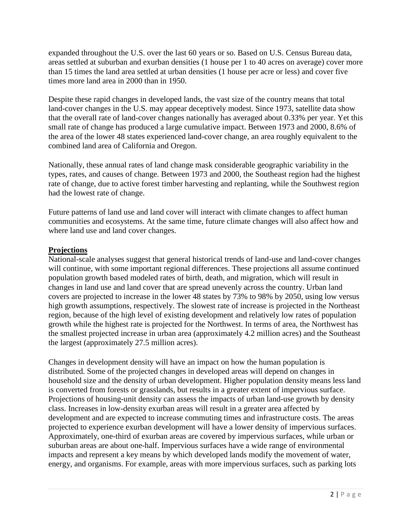expanded throughout the U.S. over the last 60 years or so. Based on U.S. Census Bureau data, areas settled at suburban and exurban densities (1 house per 1 to 40 acres on average) cover more than 15 times the land area settled at urban densities (1 house per acre or less) and cover five times more land area in 2000 than in 1950.

Despite these rapid changes in developed lands, the vast size of the country means that total land-cover changes in the U.S. may appear deceptively modest. Since 1973, satellite data show that the overall rate of land-cover changes nationally has averaged about 0.33% per year. Yet this small rate of change has produced a large cumulative impact. Between 1973 and 2000, 8.6% of the area of the lower 48 states experienced land-cover change, an area roughly equivalent to the combined land area of California and Oregon.

Nationally, these annual rates of land change mask considerable geographic variability in the types, rates, and causes of change. Between 1973 and 2000, the Southeast region had the highest rate of change, due to active forest timber harvesting and replanting, while the Southwest region had the lowest rate of change.

Future patterns of land use and land cover will interact with climate changes to affect human communities and ecosystems. At the same time, future climate changes will also affect how and where land use and land cover changes.

# **Projections**

National-scale analyses suggest that general historical trends of land-use and land-cover changes will continue, with some important regional differences. These projections all assume continued population growth based modeled rates of birth, death, and migration, which will result in changes in land use and land cover that are spread unevenly across the country. Urban land covers are projected to increase in the lower 48 states by 73% to 98% by 2050, using low versus high growth assumptions, respectively. The slowest rate of increase is projected in the Northeast region, because of the high level of existing development and relatively low rates of population growth while the highest rate is projected for the Northwest. In terms of area, the Northwest has the smallest projected increase in urban area (approximately 4.2 million acres) and the Southeast the largest (approximately 27.5 million acres).

Changes in development density will have an impact on how the human population is distributed. Some of the projected changes in developed areas will depend on changes in household size and the density of urban development. Higher population density means less land is converted from forests or grasslands, but results in a greater extent of impervious surface. Projections of housing-unit density can assess the impacts of urban land-use growth by density class. Increases in low-density exurban areas will result in a greater area affected by development and are expected to increase commuting times and infrastructure costs. The areas projected to experience exurban development will have a lower density of impervious surfaces. Approximately, one-third of exurban areas are covered by impervious surfaces, while urban or suburban areas are about one-half. Impervious surfaces have a wide range of environmental impacts and represent a key means by which developed lands modify the movement of water, energy, and organisms. For example, areas with more impervious surfaces, such as parking lots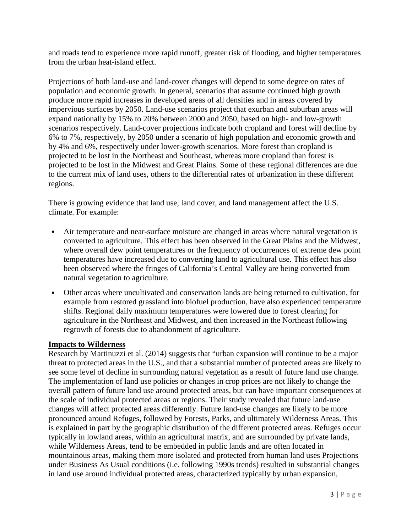and roads tend to experience more rapid runoff, greater risk of flooding, and higher temperatures from the urban heat-island effect.

Projections of both land-use and land-cover changes will depend to some degree on rates of population and economic growth. In general, scenarios that assume continued high growth produce more rapid increases in developed areas of all densities and in areas covered by impervious surfaces by 2050. Land-use scenarios project that exurban and suburban areas will expand nationally by 15% to 20% between 2000 and 2050, based on high- and low-growth scenarios respectively. Land-cover projections indicate both cropland and forest will decline by 6% to 7%, respectively, by 2050 under a scenario of high population and economic growth and by 4% and 6%, respectively under lower-growth scenarios. More forest than cropland is projected to be lost in the Northeast and Southeast, whereas more cropland than forest is projected to be lost in the Midwest and Great Plains. Some of these regional differences are due to the current mix of land uses, others to the differential rates of urbanization in these different regions.

There is growing evidence that land use, land cover, and land management affect the U.S. climate. For example:

- Air temperature and near-surface moisture are changed in areas where natural vegetation is converted to agriculture. This effect has been observed in the Great Plains and the Midwest, where overall dew point temperatures or the frequency of occurrences of extreme dew point temperatures have increased due to converting land to agricultural use. This effect has also been observed where the fringes of California's Central Valley are being converted from natural vegetation to agriculture.
- Other areas where uncultivated and conservation lands are being returned to cultivation, for example from restored grassland into biofuel production, have also experienced temperature shifts. Regional daily maximum temperatures were lowered due to forest clearing for agriculture in the Northeast and Midwest, and then increased in the Northeast following regrowth of forests due to abandonment of agriculture.

## **Impacts to Wilderness**

Research by Martinuzzi et al. (2014) suggests that "urban expansion will continue to be a major threat to protected areas in the U.S., and that a substantial number of protected areas are likely to see some level of decline in surrounding natural vegetation as a result of future land use change. The implementation of land use policies or changes in crop prices are not likely to change the overall pattern of future land use around protected areas, but can have important consequences at the scale of individual protected areas or regions. Their study revealed that future land-use changes will affect protected areas differently. Future land-use changes are likely to be more pronounced around Refuges, followed by Forests, Parks, and ultimately Wilderness Areas. This is explained in part by the geographic distribution of the different protected areas. Refuges occur typically in lowland areas, within an agricultural matrix, and are surrounded by private lands, while Wilderness Areas, tend to be embedded in public lands and are often located in mountainous areas, making them more isolated and protected from human land uses Projections under Business As Usual conditions (i.e. following 1990s trends) resulted in substantial changes in land use around individual protected areas, characterized typically by urban expansion,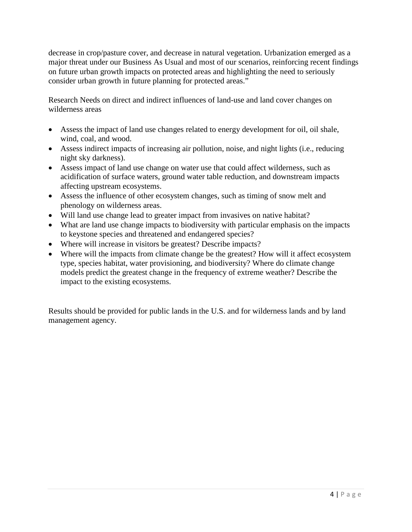decrease in crop/pasture cover, and decrease in natural vegetation. Urbanization emerged as a major threat under our Business As Usual and most of our scenarios, reinforcing recent findings on future urban growth impacts on protected areas and highlighting the need to seriously consider urban growth in future planning for protected areas."

Research Needs on direct and indirect influences of land-use and land cover changes on wilderness areas

- Assess the impact of land use changes related to energy development for oil, oil shale, wind, coal, and wood.
- Assess indirect impacts of increasing air pollution, noise, and night lights (i.e., reducing night sky darkness).
- Assess impact of land use change on water use that could affect wilderness, such as acidification of surface waters, ground water table reduction, and downstream impacts affecting upstream ecosystems.
- Assess the influence of other ecosystem changes, such as timing of snow melt and phenology on wilderness areas.
- Will land use change lead to greater impact from invasives on native habitat?
- What are land use change impacts to biodiversity with particular emphasis on the impacts to keystone species and threatened and endangered species?
- Where will increase in visitors be greatest? Describe impacts?
- Where will the impacts from climate change be the greatest? How will it affect ecosystem type, species habitat, water provisioning, and biodiversity? Where do climate change models predict the greatest change in the frequency of extreme weather? Describe the impact to the existing ecosystems.

Results should be provided for public lands in the U.S. and for wilderness lands and by land management agency.